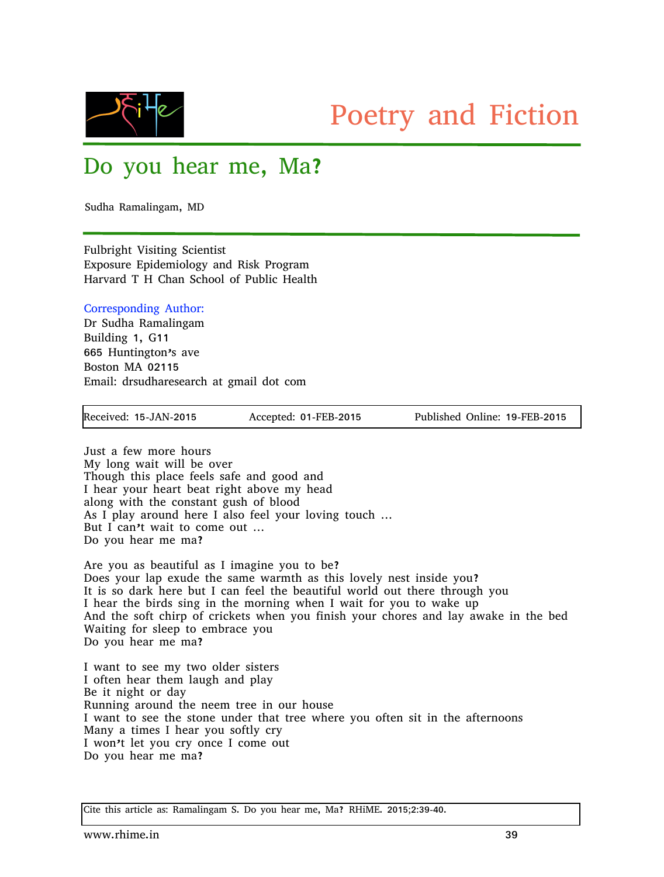

## Poetry and Fiction

## Do you hear me, Ma?

Sudha Ramalingam, MD

Fulbright Visiting Scientist Exposure Epidemiology and Risk Program Harvard T H Chan School of Public Health

## Corresponding Author:

Dr Sudha Ramalingam Building 1, G11 665 Huntington's ave Boston MA 02115 Email: drsudharesearch at gmail dot com

Received: 15-JAN-2015 Accepted: 01-FEB-2015 Published Online: 19-FEB-2015

Just a few more hours My long wait will be over Though this place feels safe and good and I hear your heart beat right above my head along with the constant gush of blood As I play around here I also feel your loving touch … But I can't wait to come out … Do you hear me ma?

Are you as beautiful as I imagine you to be? Does your lap exude the same warmth as this lovely nest inside you? It is so dark here but I can feel the beautiful world out there through you I hear the birds sing in the morning when I wait for you to wake up And the soft chirp of crickets when you finish your chores and lay awake in the bed Waiting for sleep to embrace you Do you hear me ma?

I want to see my two older sisters I often hear them laugh and play Be it night or day Running around the neem tree in our house I want to see the stone under that tree where you often sit in the afternoons Many a times I hear you softly cry I won't let you cry once I come out Do you hear me ma?

Cite this article as: Ramalingam S. Do you hear me, Ma? RHiME. 2015;2:39-40.